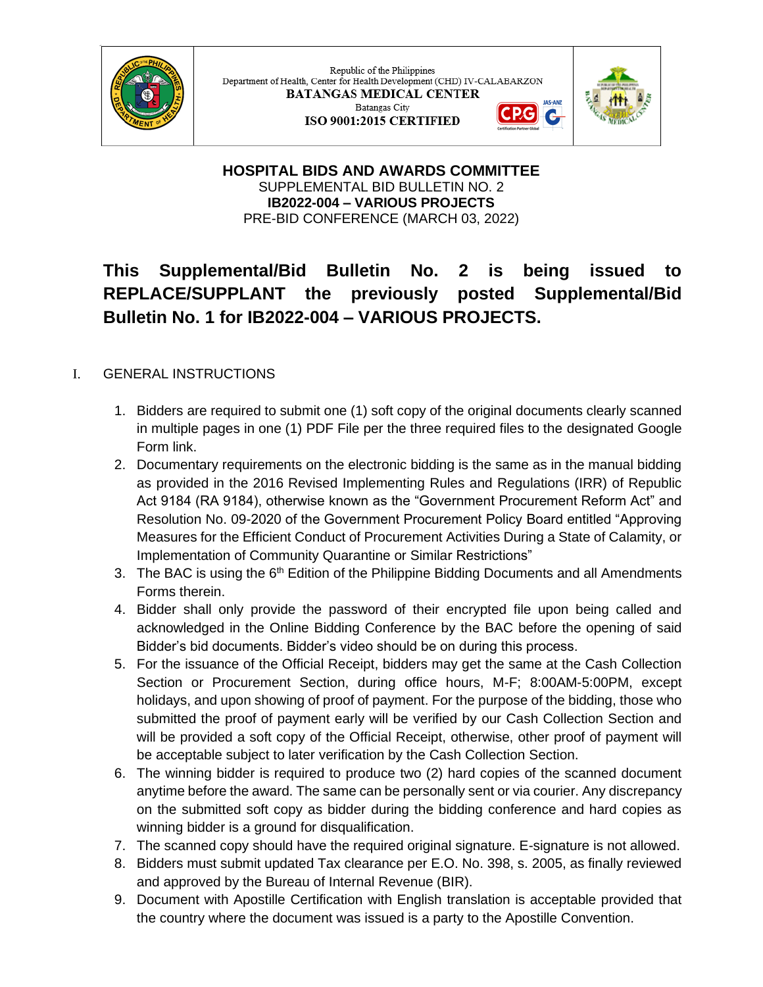

Republic of the Philippines Department of Health, Center for Health Development (CHD) IV-CALABARZON **BATANGAS MEDICAL CENTER** Batangas City G ISO 9001:2015 CERTIFIED



**HOSPITAL BIDS AND AWARDS COMMITTEE** SUPPLEMENTAL BID BULLETIN NO. 2 **IB2022-004 – VARIOUS PROJECTS** PRE-BID CONFERENCE (MARCH 03, 2022)

## **This Supplemental/Bid Bulletin No. 2 is being issued to REPLACE/SUPPLANT the previously posted Supplemental/Bid Bulletin No. 1 for IB2022-004 – VARIOUS PROJECTS.**

## I. GENERAL INSTRUCTIONS

- 1. Bidders are required to submit one (1) soft copy of the original documents clearly scanned in multiple pages in one (1) PDF File per the three required files to the designated Google Form link.
- 2. Documentary requirements on the electronic bidding is the same as in the manual bidding as provided in the 2016 Revised Implementing Rules and Regulations (IRR) of Republic Act 9184 (RA 9184), otherwise known as the "Government Procurement Reform Act" and Resolution No. 09-2020 of the Government Procurement Policy Board entitled "Approving Measures for the Efficient Conduct of Procurement Activities During a State of Calamity, or Implementation of Community Quarantine or Similar Restrictions"
- 3. The BAC is using the  $6<sup>th</sup>$  Edition of the Philippine Bidding Documents and all Amendments Forms therein.
- 4. Bidder shall only provide the password of their encrypted file upon being called and acknowledged in the Online Bidding Conference by the BAC before the opening of said Bidder's bid documents. Bidder's video should be on during this process.
- 5. For the issuance of the Official Receipt, bidders may get the same at the Cash Collection Section or Procurement Section, during office hours, M-F; 8:00AM-5:00PM, except holidays, and upon showing of proof of payment. For the purpose of the bidding, those who submitted the proof of payment early will be verified by our Cash Collection Section and will be provided a soft copy of the Official Receipt, otherwise, other proof of payment will be acceptable subject to later verification by the Cash Collection Section.
- 6. The winning bidder is required to produce two (2) hard copies of the scanned document anytime before the award. The same can be personally sent or via courier. Any discrepancy on the submitted soft copy as bidder during the bidding conference and hard copies as winning bidder is a ground for disqualification.
- 7. The scanned copy should have the required original signature. E-signature is not allowed.
- 8. Bidders must submit updated Tax clearance per E.O. No. 398, s. 2005, as finally reviewed and approved by the Bureau of Internal Revenue (BIR).
- 9. Document with Apostille Certification with English translation is acceptable provided that the country where the document was issued is a party to the Apostille Convention.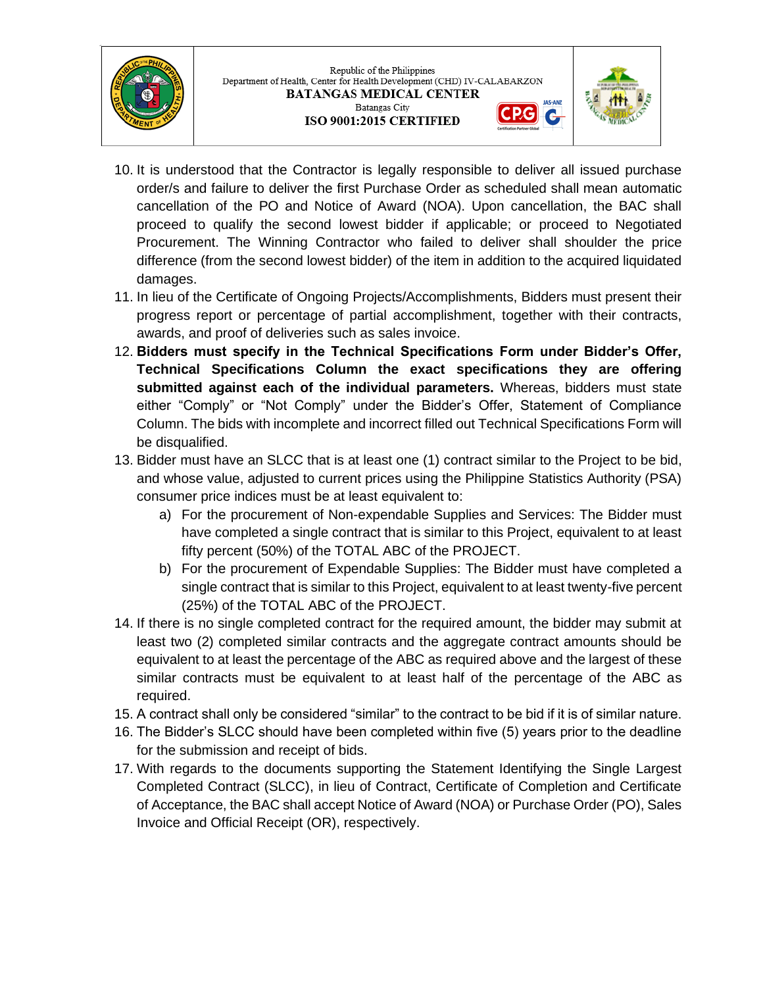

Republic of the Philippines Department of Health, Center for Health Development (CHD) IV-CALABARZON **BATANGAS MEDICAL CENTER** Batangas City ISO 9001:2015 CERTIFIED



G

- 10. It is understood that the Contractor is legally responsible to deliver all issued purchase order/s and failure to deliver the first Purchase Order as scheduled shall mean automatic cancellation of the PO and Notice of Award (NOA). Upon cancellation, the BAC shall proceed to qualify the second lowest bidder if applicable; or proceed to Negotiated Procurement. The Winning Contractor who failed to deliver shall shoulder the price difference (from the second lowest bidder) of the item in addition to the acquired liquidated damages.
- 11. In lieu of the Certificate of Ongoing Projects/Accomplishments, Bidders must present their progress report or percentage of partial accomplishment, together with their contracts, awards, and proof of deliveries such as sales invoice.
- 12. **Bidders must specify in the Technical Specifications Form under Bidder's Offer, Technical Specifications Column the exact specifications they are offering submitted against each of the individual parameters.** Whereas, bidders must state either "Comply" or "Not Comply" under the Bidder's Offer, Statement of Compliance Column. The bids with incomplete and incorrect filled out Technical Specifications Form will be disqualified.
- 13. Bidder must have an SLCC that is at least one (1) contract similar to the Project to be bid, and whose value, adjusted to current prices using the Philippine Statistics Authority (PSA) consumer price indices must be at least equivalent to:
	- a) For the procurement of Non-expendable Supplies and Services: The Bidder must have completed a single contract that is similar to this Project, equivalent to at least fifty percent (50%) of the TOTAL ABC of the PROJECT.
	- b) For the procurement of Expendable Supplies: The Bidder must have completed a single contract that is similar to this Project, equivalent to at least twenty-five percent (25%) of the TOTAL ABC of the PROJECT.
- 14. If there is no single completed contract for the required amount, the bidder may submit at least two (2) completed similar contracts and the aggregate contract amounts should be equivalent to at least the percentage of the ABC as required above and the largest of these similar contracts must be equivalent to at least half of the percentage of the ABC as required.
- 15. A contract shall only be considered "similar" to the contract to be bid if it is of similar nature.
- 16. The Bidder's SLCC should have been completed within five (5) years prior to the deadline for the submission and receipt of bids.
- 17. With regards to the documents supporting the Statement Identifying the Single Largest Completed Contract (SLCC), in lieu of Contract, Certificate of Completion and Certificate of Acceptance, the BAC shall accept Notice of Award (NOA) or Purchase Order (PO), Sales Invoice and Official Receipt (OR), respectively.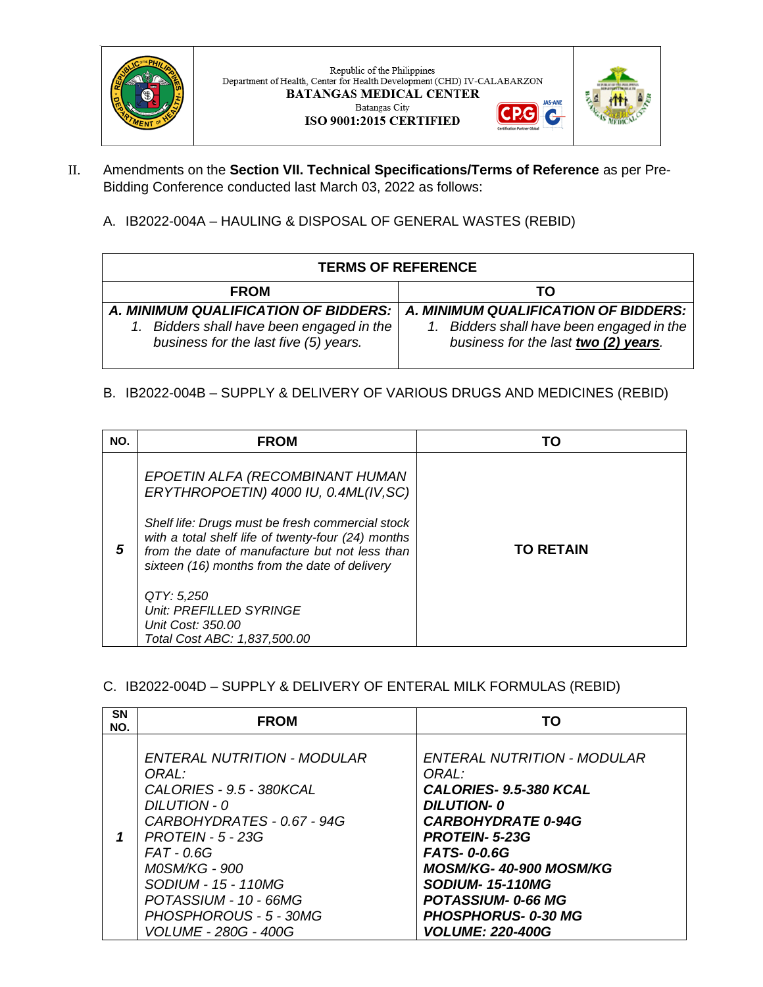

Republic of the Philippines Department of Health, Center for Health Development (CHD) IV-CALABARZON BATANGAS MEDICAL CENTER Batangas City





**JAS-ANZ** 

G

- II. Amendments on the **Section VII. Technical Specifications/Terms of Reference** as per Pre-Bidding Conference conducted last March 03, 2022 as follows:
	- A. IB2022-004A HAULING & DISPOSAL OF GENERAL WASTES (REBID)

| <b>TERMS OF REFERENCE</b>                                                                                                 |                                                                                                                           |  |
|---------------------------------------------------------------------------------------------------------------------------|---------------------------------------------------------------------------------------------------------------------------|--|
| <b>FROM</b>                                                                                                               | TΟ                                                                                                                        |  |
| A. MINIMUM QUALIFICATION OF BIDDERS:  <br>Bidders shall have been engaged in the<br>business for the last five (5) years. | A. MINIMUM QUALIFICATION OF BIDDERS:<br>1. Bidders shall have been engaged in the<br>business for the last two (2) years. |  |

## B. IB2022-004B – SUPPLY & DELIVERY OF VARIOUS DRUGS AND MEDICINES (REBID)

| NO. | <b>FROM</b>                                                                                                                                                                                                                                                                                                                                                                         | тп               |
|-----|-------------------------------------------------------------------------------------------------------------------------------------------------------------------------------------------------------------------------------------------------------------------------------------------------------------------------------------------------------------------------------------|------------------|
| 5   | EPOETIN ALFA (RECOMBINANT HUMAN<br>ERYTHROPOETIN) 4000 IU, 0.4ML(IV, SC)<br>Shelf life: Drugs must be fresh commercial stock<br>with a total shelf life of twenty-four (24) months<br>from the date of manufacture but not less than<br>sixteen (16) months from the date of delivery<br>QTY: 5,250<br>Unit: PREFILLED SYRINGE<br>Unit Cost: 350.00<br>Total Cost ABC: 1,837,500.00 | <b>TO RETAIN</b> |

C. IB2022-004D – SUPPLY & DELIVERY OF ENTERAL MILK FORMULAS (REBID)

| <b>SN</b><br>NO. | <b>FROM</b>                                                                                                                                                                                                                                                                                   | TO.                                                                                                                                                                                                                                                                                                           |
|------------------|-----------------------------------------------------------------------------------------------------------------------------------------------------------------------------------------------------------------------------------------------------------------------------------------------|---------------------------------------------------------------------------------------------------------------------------------------------------------------------------------------------------------------------------------------------------------------------------------------------------------------|
|                  | <b>ENTERAL NUTRITION - MODULAR</b><br>ORAL:<br>CALORIES - 9.5 - 380KCAL<br>$DILUTION - O$<br>CARBOHYDRATES - 0.67 - 94G<br>$PROTEIN - 5 - 23G$<br>FAT - 0.6G<br><b>MOSM/KG - 900</b><br>SODIUM - 15 - 110MG<br>POTASSIUM - 10 - 66MG<br>PHOSPHOROUS - 5 - 30MG<br><b>VOLUME - 280G - 400G</b> | <b>ENTERAL NUTRITION - MODULAR</b><br>ORAL:<br>CALORIES- 9.5-380 KCAL<br><b>DILUTION-0</b><br><b>CARBOHYDRATE 0-94G</b><br><b>PROTEIN-5-23G</b><br><b>FATS-0-0.6G</b><br>MOSM/KG-40-900 MOSM/KG<br><b>SODIUM-15-110MG</b><br><b>POTASSIUM-0-66 MG</b><br><b>PHOSPHORUS-0-30 MG</b><br><b>VOLUME: 220-400G</b> |